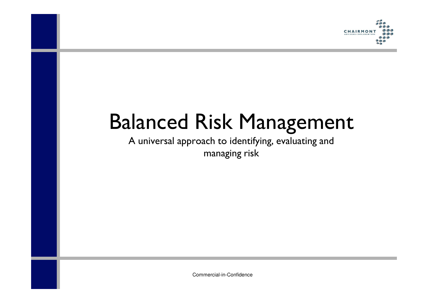**CHAIRMON** ADVISERS+IMPLEMEN

# Balanced Risk Management

A universal approach to identifying, evaluating andmanaging risk

Commercial-in-Confidence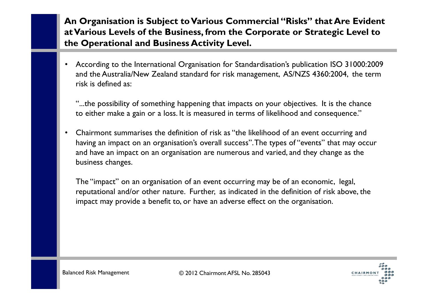#### **An Organisation is Subject to Various Commercial "Risks" that Are Evident at Various Levels of the Business, from the Corporate or Strategic Level to the Operational and Business Activity Level.**

 $\bullet$  According to the International Organisation for Standardisation's publication ISO 31000:2009 and the Australia/New Zealand standard for risk management, AS/NZS 4360:2004, the termrisk is defined as:

"...the possibility of something happening that impacts on your objectives. It is the chanceto either make a gain or a loss. It is measured in terms of likelihood and consequence."

• Chairmont summarises the definition of risk as "the likelihood of an event occurring and having an impact on an organisation's overall success". The types of "events" that may occur and have an impact on an organisation are numerous and varied, and they change as the business changes.

The "impact" on an organisation of an event occurring may be of an economic, legal, reputational and/or other nature. Further, as indicated in the definition of risk above, the impact may provide a benefit to, or have an adverse effect on the organisation.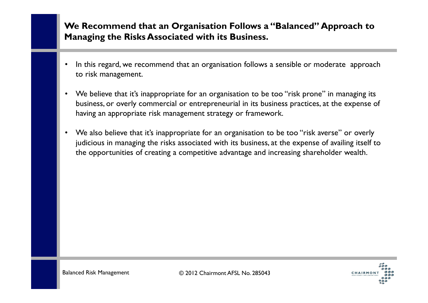### **We Recommend that an Organisation Follows a "Balanced" Approach to Managing the Risks Associated with its Business.**

- $\bullet$ In this regard, we recommend that an organisation follows a sensible or moderate approach to risk management.
- •We believe that it's inappropriate for an organisation to be too "risk prone" in managing its business, or overly commercial or entrepreneurial in its business practices, at the expense of having an appropriate risk management strategy or framework.
- $\bullet$ We also believe that it's inappropriate for an organisation to be too "risk averse" or overly judicious in managing the risks associated with its business, at the expense of availing itself to the opportunities of creating a competitive advantage and increasing shareholder wealth.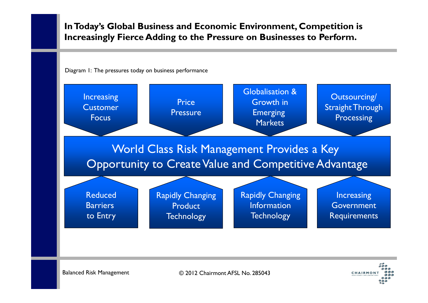#### **In Today's Global Business and Economic Environment, Competition is Increasingly Fierce Adding to the Pressure on Businesses to Perform.**



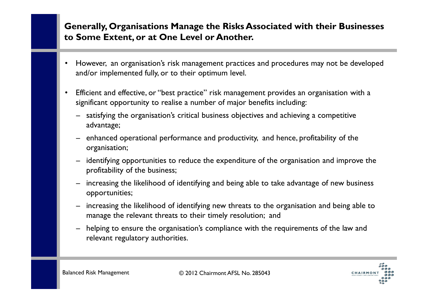#### **Generally, Organisations Manage the Risks Associated with their Businesses to Some Extent, or at One Level or Another.**

- • However, an organisation's risk management practices and procedures may not be developed and/or implemented fully, or to their optimum level.
- • Efficient and effective, or "best practice" risk management provides an organisation with asignificant opportunity to realise a number of major benefits including:
	- − satisfying the organisation's critical business objectives and achieving a competitive advantage;
	- − enhanced operational performance and productivity, and hence, profitability of the organisation;
	- − identifying opportunities to reduce the expenditure of the organisation and improve the profitability of the business;
	- increasing the likelihood of identifying and being able to take advantage of new business opportunities;
	- − increasing the likelihood of identifying new threats to the organisation and being able to manage the relevant threats to their timely resolution; and
	- − helping to ensure the organisation's compliance with the requirements of the law and relevant regulatory authorities.

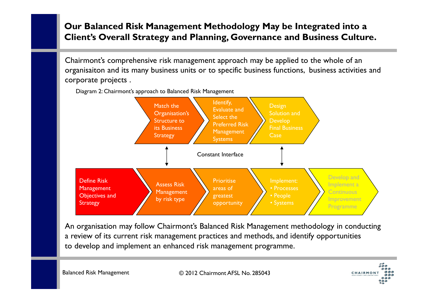## **Our Balanced Risk Management Methodology May be Integrated into a Client's Overall Strategy and Planning, Governance and Business Culture.**

Chairmont's comprehensive risk management approach may be applied to the whole of an organisaiton and its many business units or to specific business functions, business activities and corporate projects .

Diagram 2: Chairmont's approach to Balanced Risk Management



An organisation may follow Chairmont's Balanced Risk Management methodology in conductinga review of its current risk management practices and methods, and identify opportunitiesto develop and implement an enhanced risk management programme.

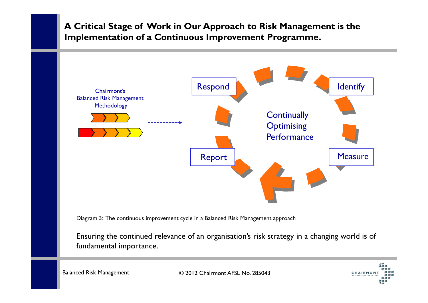## **A Critical Stage of Work in Our Approach to Risk Management is the Implementation of a Continuous Improvement Programme.**



Diagram 3: The continuous improvement cycle in a Balanced Risk Management approach

Ensuring the continued relevance of an organisation's risk strategy in a changing world is of fundamental importance.

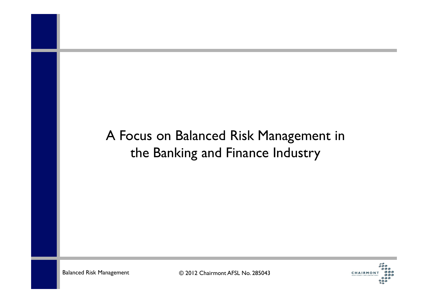# A Focus on Balanced Risk Management in the Banking and Finance Industry

Balanced Risk Management

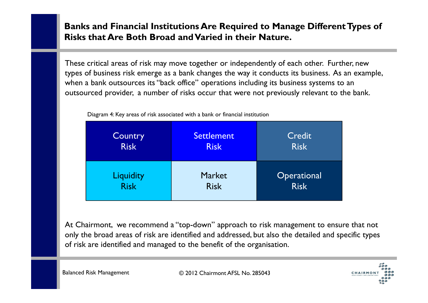## **Banks and Financial Institutions Are Required to Manage Different Types of Risks that Are Both Broad and Varied in their Nature.**

These critical areas of risk may move together or independently of each other. Further, new types of business risk emerge as a bank changes the way it conducts its business. As an example, when a bank outsources its "back office" operations including its business systems to an outsourced provider, a number of risks occur that were not previously relevant to the bank.

| Country     | <b>Settlement</b> | Credit      |
|-------------|-------------------|-------------|
| <b>Risk</b> | <b>Risk</b>       | <b>Risk</b> |
| Liquidity   | <b>Market</b>     | Operational |
| <b>Risk</b> | <b>Risk</b>       | <b>Risk</b> |

Diagram 4: Key areas of risk associated with a bank or financial institution

At Chairmont, we recommend a "top-down" approach to risk management to ensure that not only the broad areas of risk are identified and addressed, but also the detailed and specific types of risk are identified and managed to the benefit of the organisation.

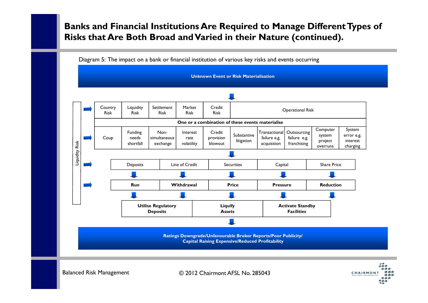#### **Banks and Financial Institutions Are Required to Manage Different Types of Risks that Are Both Broad and Varied in their Nature (continued).**



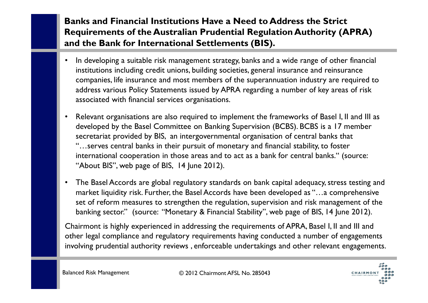**Banks and Financial Institutions Have a Need to Address the Strict Requirements of the Australian Prudential Regulation Authority (APRA) and the Bank for International Settlements (BIS).**

- • In developing a suitable risk management strategy, banks and a wide range of other financial institutions including credit unions, building societies, general insurance and reinsurance companies, life insurance and most members of the superannuation industry are required to address various Policy Statements issued by APRA regarding a number of key areas of risk associated with financial services organisations.
- • Relevant organisations are also required to implement the frameworks of Basel I, II and III as developed by the Basel Committee on Banking Supervision (BCBS). BCBS is a 17 member secretariat provided by BIS, an intergovernmental organisation of central banks that "…serves central banks in their pursuit of monetary and financial stability, to foster international cooperation in those areas and to act as a bank for central banks." (source: "About BIS", web page of BIS, 14 June 2012).
- • The Basel Accords are global regulatory standards on bank capital adequacy, stress testing and market liquidity risk. Further, the Basel Accords have been developed as "…a comprehensive set of reform measures to strengthen the regulation, supervision and risk management of the banking sector." (source: "Monetary & Financial Stability", web page of BIS, 14 June 2012).

Chairmont is highly experienced in addressing the requirements of APRA, Basel I, II and III and other legal compliance and regulatory requirements having conducted a number of engagements involving prudential authority reviews , enforceable undertakings and other relevant engagements.

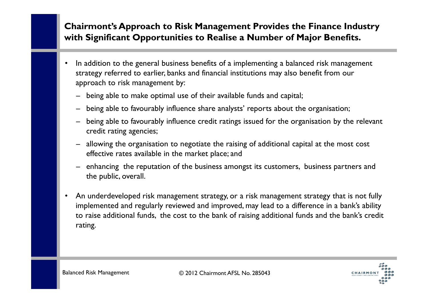#### **Chairmont's Approach to Risk Management Provides the Finance Industry with Significant Opportunities to Realise a Number of Major Benefits.**

- • In addition to the general business benefits of a implementing a balanced risk management strategy referred to earlier, banks and financial institutions may also benefit from our approach to risk management by:
	- − being able to make optimal use of their available funds and capital;
	- − being able to favourably influence share analysts' reports about the organisation;
	- − being able to favourably influence credit ratings issued for the organisation by the relevant credit rating agencies;
	- − allowing the organisation to negotiate the raising of additional capital at the most cost effective rates available in the market place; and
	- enhancing the reputation of the business amongst its customers, business partners and the public, overall.
- • An underdeveloped risk management strategy, or a risk management strategy that is not fully implemented and regularly reviewed and improved, may lead to a difference in a bank's ability to raise additional funds, the cost to the bank of raising additional funds and the bank's credit rating.

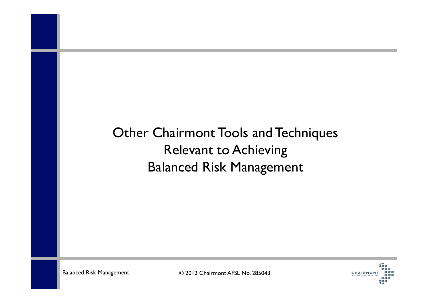# Other Chairmont Tools and Techniques Relevant to Achieving Balanced Risk Management

Balanced Risk Management

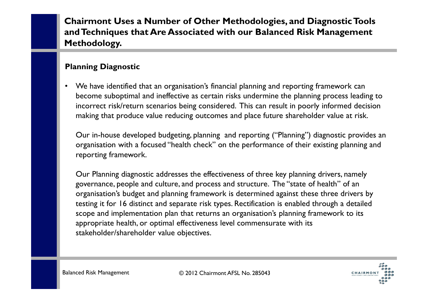**Chairmont Uses a Number of Other Methodologies, and Diagnostic Tools and Techniques that Are Associated with our Balanced Risk Management Methodology.**

#### **Planning Diagnostic**

 $\bullet$  We have identified that an organisation's financial planning and reporting framework can become suboptimal and ineffective as certain risks undermine the planning process leading to incorrect risk/return scenarios being considered. This can result in poorly informed decision making that produce value reducing outcomes and place future shareholder value at risk.

Our in-house developed budgeting, planning and reporting ("Planning") diagnostic provides an organisation with a focused "health check" on the performance of their existing planning and reporting framework.

Our Planning diagnostic addresses the effectiveness of three key planning drivers, namely governance, people and culture, and process and structure. The "state of health" of an organisation's budget and planning framework is determined against these three drivers by testing it for 16 distinct and separate risk types. Rectification is enabled through a detailed scope and implementation plan that returns an organisation's planning framework to its appropriate health, or optimal effectiveness level commensurate with its stakeholder/shareholder value objectives.

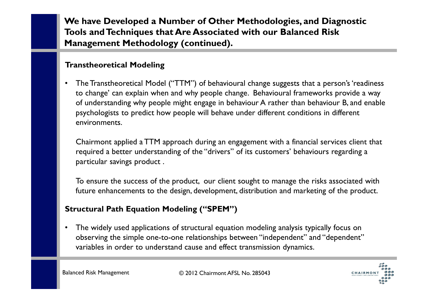**We have Developed a Number of Other Methodologies, and Diagnostic Tools and Techniques that Are Associated with our Balanced Risk Management Methodology (continued).**

#### **Transtheoretical Modeling**

 $\bullet$  The Transtheoretical Model ("TTM") of behavioural change suggests that a person's 'readiness to change' can explain when and why people change. Behavioural frameworks provide a way of understanding why people might engage in behaviour A rather than behaviour B, and enable psychologists to predict how people will behave under different conditions in different environments.

Chairmont applied a TTM approach during an engagement with a financial services client that required a better understanding of the "drivers" of its customers' behaviours regarding a particular savings product .

To ensure the success of the product, our client sought to manage the risks associated with future enhancements to the design, development, distribution and marketing of the product.

#### **Structural Path Equation Modeling ("SPEM")**

• The widely used applications of structural equation modeling analysis typically focus on observing the simple one-to-one relationships between "independent" and "dependent" variables in order to understand cause and effect transmission dynamics.

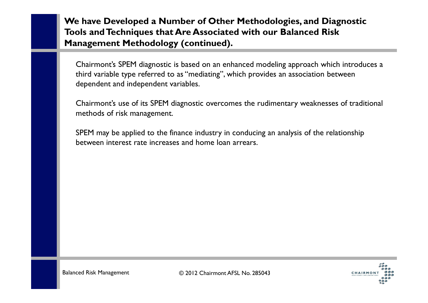**We have Developed a Number of Other Methodologies, and Diagnostic Tools and Techniques that Are Associated with our Balanced Risk Management Methodology (continued).**

Chairmont's SPEM diagnostic is based on an enhanced modeling approach which introduces a third variable type referred to as "mediating", which provides an association between dependent and independent variables.

Chairmont's use of its SPEM diagnostic overcomes the rudimentary weaknesses of traditional methods of risk management.

SPEM may be applied to the finance industry in conducing an analysis of the relationship between interest rate increases and home loan arrears.